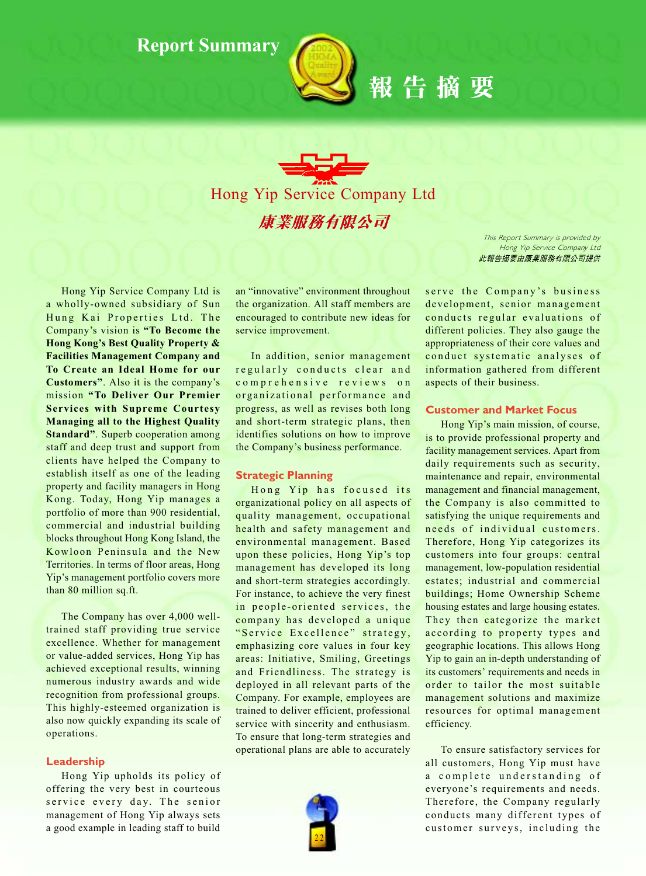

報告摘要

This Report Summary is provided by Hong Yip Service Company Ltd 此報告摘要由康業服務有限公司提供

Hong Yip Service Company Ltd is a wholly-owned subsidiary of Sun Hung Kai Properties Ltd. The Company's vision is "To Become the **Hong Kong's Best Quality Property & Facilities Management Company and** To Create an Ideal Home for our **Customers**". Also it is the company's mission "To Deliver Our Premier **Services with Supreme Courtesy Managing all to the Highest Quality Standard".** Superb cooperation among staff and deep trust and support from clients have helped the Company to establish itself as one of the leading property and facility managers in Hong Kong. Today, Hong Yip manages a portfolio of more than 900 residential, commercial and industrial building blocks throughout Hong Kong Island, the Kowloon Peninsula and the New Territories. In terms of floor areas, Hong Yip's management portfolio covers more than 80 million sq.ft.

The Company has over 4,000 welltrained staff providing true service excellence. Whether for management or value-added services, Hong Yip has achieved exceptional results, winning numerous industry awards and wide recognition from professional groups. This highly-esteemed organization is also now quickly expanding its scale of operations.

## Leadership

Hong Yip upholds its policy of offering the very best in courteous service every day. The senior management of Hong Yip always sets a good example in leading staff to build an "innovative" environment throughout the organization. All staff members are encouraged to contribute new ideas for service improvement.

In addition, senior management regularly conducts clear and comprehensive reviews on organizational performance and progress, as well as revises both long and short-term strategic plans, then identifies solutions on how to improve the Company's business performance.

## **Strategic Planning**

Hong Yip has focused its organizational policy on all aspects of quality management, occupational health and safety management and environmental management. Based upon these policies, Hong Yip's top management has developed its long and short-term strategies accordingly. For instance, to achieve the very finest in people-oriented services, the company has developed a unique "Service Excellence" strategy, emphasizing core values in four key areas: Initiative, Smiling, Greetings and Friendliness. The strategy is deployed in all relevant parts of the Company. For example, employees are trained to deliver efficient, professional service with sincerity and enthusiasm. To ensure that long-term strategies and operational plans are able to accurately



serve the Company's business development, senior management conducts regular evaluations of different policies. They also gauge the appropriateness of their core values and conduct systematic analyses of information gathered from different aspects of their business.

# **Customer and Market Focus**

Hong Yip's main mission, of course, is to provide professional property and facility management services. Apart from daily requirements such as security, maintenance and repair, environmental management and financial management, the Company is also committed to satisfying the unique requirements and needs of individual customers. Therefore, Hong Yip categorizes its customers into four groups: central management, low-population residential estates; industrial and commercial buildings; Home Ownership Scheme housing estates and large housing estates. They then categorize the market according to property types and geographic locations. This allows Hong Yip to gain an in-depth understanding of its customers' requirements and needs in order to tailor the most suitable management solutions and maximize resources for optimal management efficiency.

To ensure satisfactory services for all customers, Hong Yip must have a complete understanding of everyone's requirements and needs. Therefore, the Company regularly conducts many different types of customer surveys, including the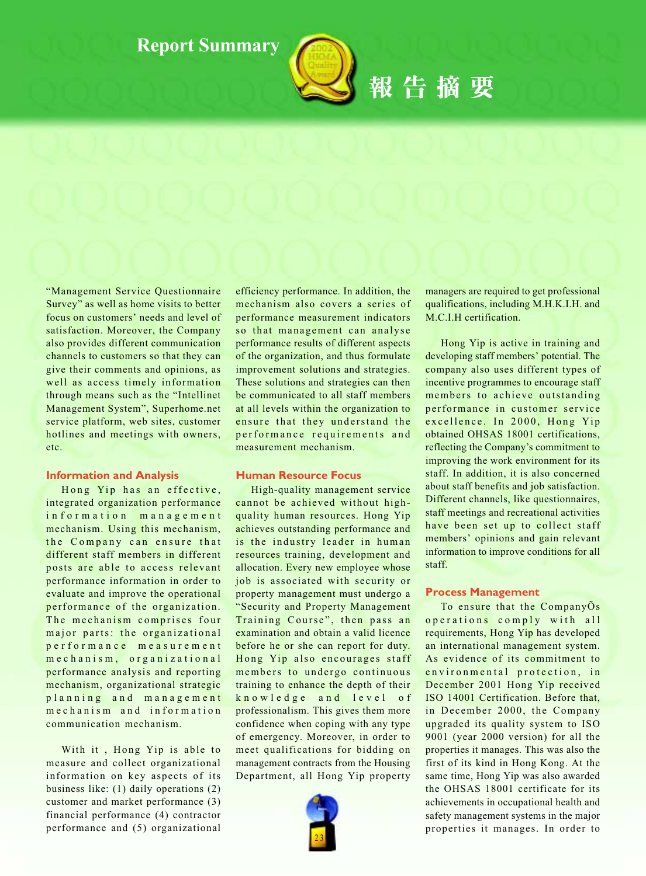

報告摘要

# "Management Service Questionnaire Survey" as well as home visits to better focus on customers' needs and level of satisfaction. Moreover, the Company also provides different communication channels to customers so that they can give their comments and opinions, as well as access timely information through means such as the "Intellinet Management System", Superhome.net service platform, web sites, customer hotlines and meetings with owners, etc.

## **Information and Analysis**

Hong Yip has an effective, integrated organization performance information management mechanism. Using this mechanism, the Company can ensure that different staff members in different posts are able to access relevant performance information in order to evaluate and improve the operational performance of the organization. The mechanism comprises four major parts: the organizational performance measurement mechanism, organizational performance analysis and reporting mechanism, organizational strategic planning and management mechanism and information communication mechanism.

With it, Hong Yip is able to measure and collect organizational information on key aspects of its business like:  $(1)$  daily operations  $(2)$ customer and market performance (3) financial performance (4) contractor performance and (5) organizational efficiency performance. In addition, the mechanism also covers a series of performance measurement indicators so that management can analyse performance results of different aspects of the organization, and thus formulate improvement solutions and strategies. These solutions and strategies can then be communicated to all staff members at all levels within the organization to ensure that they understand the performance requirements and measurement mechanism.

# **Human Resource Focus**

High-quality management service cannot be achieved without highquality human resources. Hong Yip achieves outstanding performance and is the industry leader in human resources training, development and allocation. Every new employee whose job is associated with security or property management must undergo a "Security and Property Management" Training Course", then pass an examination and obtain a valid licence before he or she can report for duty. Hong Yip also encourages staff members to undergo continuous training to enhance the depth of their knowledge and level of professionalism. This gives them more confidence when coping with any type of emergency. Moreover, in order to meet qualifications for bidding on management contracts from the Housing Department, all Hong Yip property



managers are required to get professional qualifications, including M.H.K.I.H. and M.C.I.H certification.

Hong Yip is active in training and developing staff members' potential. The company also uses different types of incentive programmes to encourage staff members to achieve outstanding performance in customer service excellence. In 2000, Hong Yip obtained OHSAS 18001 certifications, reflecting the Company's commitment to improving the work environment for its staff. In addition, it is also concerned about staff benefits and job satisfaction. Different channels, like questionnaires, staff meetings and recreational activities have been set up to collect staff members' opinions and gain relevant information to improve conditions for all staff.

## **Process Management**

To ensure that the CompanyOs operations comply with all requirements, Hong Yip has developed an international management system. As evidence of its commitment to environmental protection, in December 2001 Hong Yip received ISO 14001 Certification. Before that, in December 2000, the Company upgraded its quality system to ISO 9001 (year 2000 version) for all the properties it manages. This was also the first of its kind in Hong Kong. At the same time, Hong Yip was also awarded the OHSAS 18001 certificate for its achievements in occupational health and safety management systems in the major properties it manages. In order to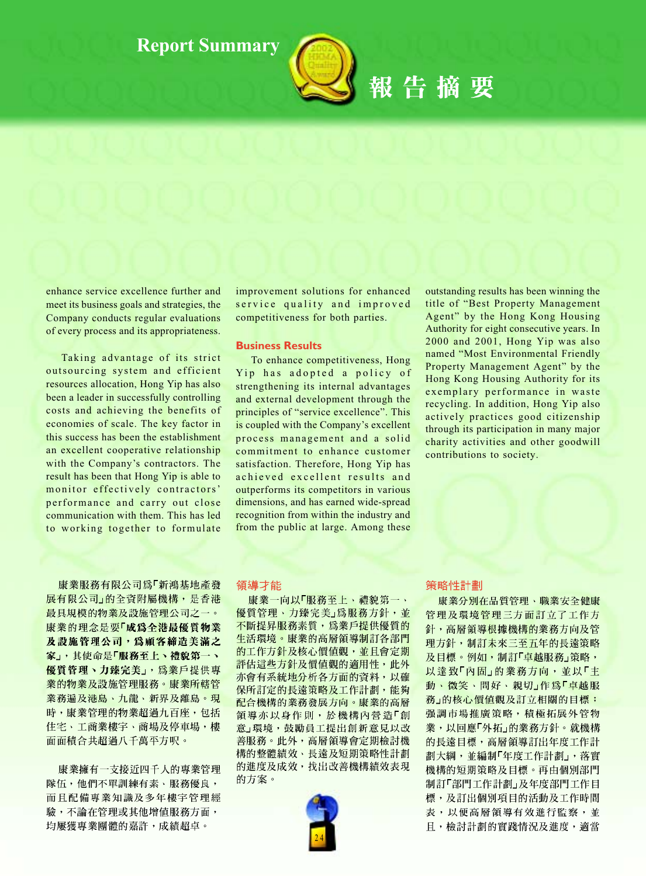

報告摘要

enhance service excellence further and meet its business goals and strategies, the Company conducts regular evaluations of every process and its appropriateness.

Taking advantage of its strict outsourcing system and efficient resources allocation, Hong Yip has also been a leader in successfully controlling costs and achieving the benefits of economies of scale. The key factor in this success has been the establishment an excellent cooperative relationship with the Company's contractors. The result has been that Hong Yip is able to monitor effectively contractors' performance and carry out close communication with them. This has led to working together to formulate

improvement solutions for enhanced service quality and improved competitiveness for both parties.

## **Business Results**

To enhance competitiveness, Hong Yip has adopted a policy of strengthening its internal advantages and external development through the principles of "service excellence". This is coupled with the Company's excellent process management and a solid commitment to enhance customer satisfaction. Therefore, Hong Yip has achieved excellent results and outperforms its competitors in various dimensions, and has earned wide-spread recognition from within the industry and from the public at large. Among these

outstanding results has been winning the title of "Best Property Management Agent" by the Hong Kong Housing Authority for eight consecutive years. In 2000 and 2001, Hong Yip was also named "Most Environmental Friendly Property Management Agent" by the Hong Kong Housing Authority for its exemplary performance in waste recycling. In addition, Hong Yip also actively practices good citizenship through its participation in many major charity activities and other goodwill contributions to society.

康業服務有限公司為「新鴻基地產發 展有限公司」的全資附屬機構,是香港 最具規模的物業及設施管理公司之一。 康業的理念是要「成為全港最優質物業 及設施管理公司,為顧客締造美滿之 家」,其使命是「服務至上、禮貌第一、 優質管理、力臻完美」,為業戶提供專 業的物業及設施管理服務。康業所轄管 業務遍及港島、九龍、新界及離島。現 時,康業管理的物業超過九百座,包括 住宅、工商業樓宇、商場及停車場,樓 面面積合共超過八千萬平方呎。

康業擁有一支接近四千人的專業管理 隊伍,他們不單訓練有素、服務優良, 而且配備專業知識及多年樓宇管理經 驗,不論在管理或其他增值服務方面, 均屢獲專業團體的嘉許,成績超卓。

#### 領導才能

康業一向以「服務至上、禮貌第一、 優質管理、力臻完美」為服務方針,並 不斷提昇服務素質,為業戶提供優質的 生活環境。康業的高層領導制訂各部門 **的工作方針及核心價值觀,並且會定期** 評估這些方針及價值觀的適用性,此外 <mark>亦會有系統地分析各方面的資料,以確</mark> 保所訂定的長遠策略及工作計劃,能夠 配合機構的業務發展方向。康業的高層 領導亦以身作則,於機構內營造「創 意」環境,鼓勵員工提出創新意見以改 善服務。此外,高層領導會定期檢討機 構的整體績效、長遠及短期策略性計劃 的進度及成效, 找出改善機構績效表現 的方案。



#### 策略性計劃

康業分別在品質管理、職業安全健康 管理及環境管理三方面訂立了工作方 針, 高層領導根據機構的業務方向及管 理方針,制訂未來三至五年的長遠策略 及目標。例如,制訂「卓越服務」策略, 以達致「內固」的業務方向,並以「主 動、微笑、問好、親切」作為「卓越服 務」的核心價值觀及訂立相關的目標; 强調市場推廣策略,積極拓展外管物 業,以回應「外拓」的業務方針。就機構 的長遠目標, 高層領導訂出年度工作計 劃大綱,並編制「年度工作計劃」,落實 機構的短期策略及目標。再由個別部門 制訂「部門工作計劃」及年度部門工作目 標,及訂出個別項目的活動及工作時間 表,以便高層領導有效進行監察,並 且,檢討計劃的實踐情況及進度,適當